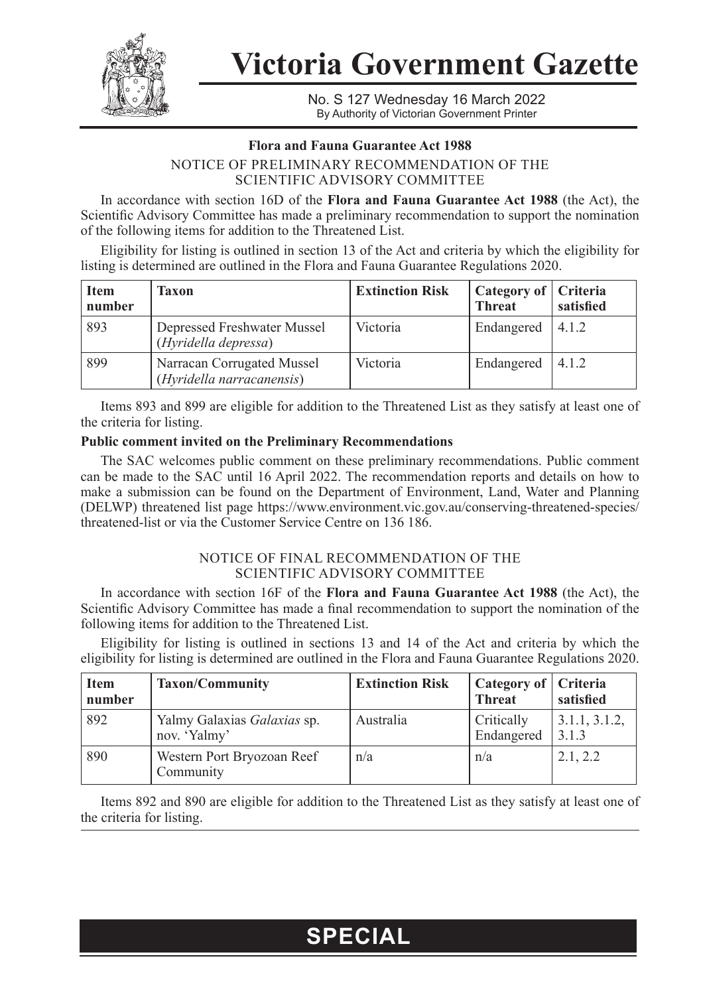

**Victoria Government Gazette**

No. S 127 Wednesday 16 March 2022 By Authority of Victorian Government Printer

#### **Flora and Fauna Guarantee Act 1988**

### NOTICE OF PRELIMINARY RECOMMENDATION OF THE SCIENTIFIC ADVISORY COMMITTEE

In accordance with section 16D of the **Flora and Fauna Guarantee Act 1988** (the Act), the Scientific Advisory Committee has made a preliminary recommendation to support the nomination of the following items for addition to the Threatened List.

Eligibility for listing is outlined in section 13 of the Act and criteria by which the eligibility for listing is determined are outlined in the Flora and Fauna Guarantee Regulations 2020.

| <b>Item</b><br>number | Taxon                                                   | <b>Extinction Risk</b> | Category of   Criteria<br><b>Threat</b> | satisfied |
|-----------------------|---------------------------------------------------------|------------------------|-----------------------------------------|-----------|
| 893                   | Depressed Freshwater Mussel<br>(Hyridella depressa)     | Victoria               | Endangered $ 4.1.2$                     |           |
| 899                   | Narracan Corrugated Mussel<br>(Hyridella narracanensis) | Victoria               | Endangered $ 4.1.2$                     |           |

Items 893 and 899 are eligible for addition to the Threatened List as they satisfy at least one of the criteria for listing.

#### **Public comment invited on the Preliminary Recommendations**

The SAC welcomes public comment on these preliminary recommendations. Public comment can be made to the SAC until 16 April 2022. The recommendation reports and details on how to make a submission can be found on the Department of Environment, Land, Water and Planning (DELWP) threatened list page https://www.environment.vic.gov.au/conserving-threatened-species/ threatened-list or via the Customer Service Centre on 136 186.

#### NOTICE OF FINAL RECOMMENDATION OF THE SCIENTIFIC ADVISORY COMMITTEE

In accordance with section 16F of the **Flora and Fauna Guarantee Act 1988** (the Act), the Scientific Advisory Committee has made a final recommendation to support the nomination of the following items for addition to the Threatened List.

Eligibility for listing is outlined in sections 13 and 14 of the Act and criteria by which the eligibility for listing is determined are outlined in the Flora and Fauna Guarantee Regulations 2020.

| <b>Item</b><br>number | <b>Taxon/Community</b>                      | <b>Extinction Risk</b> | Category of   Criteria<br><b>Threat</b> | satisfied                 |
|-----------------------|---------------------------------------------|------------------------|-----------------------------------------|---------------------------|
| 892                   | Yalmy Galaxias Galaxias sp.<br>nov. 'Yalmy' | Australia              | Critically<br>Endangered                | 1, 3.1.1, 3.1.2,<br>3.1.3 |
| 890                   | Western Port Bryozoan Reef<br>Community     | n/a                    | n/a                                     | 2.1.2.2                   |

Items 892 and 890 are eligible for addition to the Threatened List as they satisfy at least one of the criteria for listing.

## **SPECIAL**